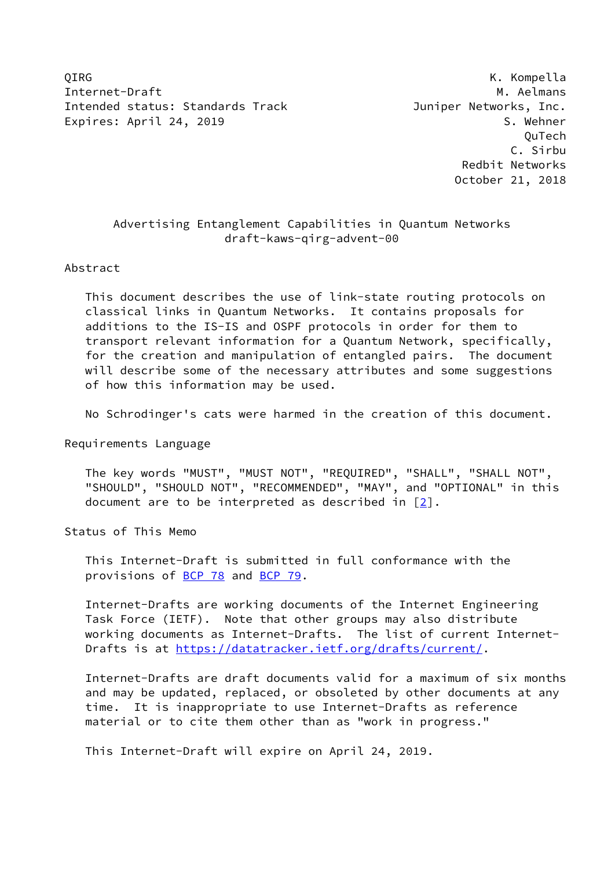OIRG **K. Kompella** Internet-Draft Methods and Museum of the Museum of Museum of Museum of Museum of Museum of Museum of Museum of Mu Intended status: Standards Track Track Juniper Networks, Inc. Expires: April 24, 2019 S. Wehner

 QuTech C. Sirbu Redbit Networks October 21, 2018

# Advertising Entanglement Capabilities in Quantum Networks draft-kaws-qirg-advent-00

#### Abstract

 This document describes the use of link-state routing protocols on classical links in Quantum Networks. It contains proposals for additions to the IS-IS and OSPF protocols in order for them to transport relevant information for a Quantum Network, specifically, for the creation and manipulation of entangled pairs. The document will describe some of the necessary attributes and some suggestions of how this information may be used.

No Schrodinger's cats were harmed in the creation of this document.

Requirements Language

 The key words "MUST", "MUST NOT", "REQUIRED", "SHALL", "SHALL NOT", "SHOULD", "SHOULD NOT", "RECOMMENDED", "MAY", and "OPTIONAL" in this document are to be interpreted as described in [\[2](#page-14-0)].

Status of This Memo

 This Internet-Draft is submitted in full conformance with the provisions of [BCP 78](https://datatracker.ietf.org/doc/pdf/bcp78) and [BCP 79](https://datatracker.ietf.org/doc/pdf/bcp79).

 Internet-Drafts are working documents of the Internet Engineering Task Force (IETF). Note that other groups may also distribute working documents as Internet-Drafts. The list of current Internet Drafts is at<https://datatracker.ietf.org/drafts/current/>.

 Internet-Drafts are draft documents valid for a maximum of six months and may be updated, replaced, or obsoleted by other documents at any time. It is inappropriate to use Internet-Drafts as reference material or to cite them other than as "work in progress."

This Internet-Draft will expire on April 24, 2019.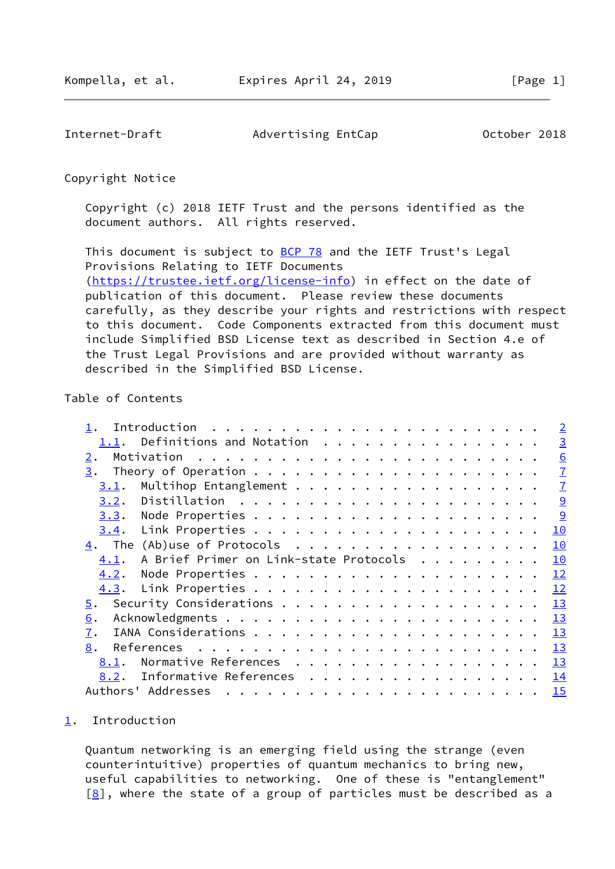<span id="page-1-1"></span>Internet-Draft Movertising EntCap October 2018

Copyright Notice

 Copyright (c) 2018 IETF Trust and the persons identified as the document authors. All rights reserved.

This document is subject to **[BCP 78](https://datatracker.ietf.org/doc/pdf/bcp78)** and the IETF Trust's Legal Provisions Relating to IETF Documents [\(https://trustee.ietf.org/license-info](https://trustee.ietf.org/license-info)) in effect on the date of publication of this document. Please review these documents carefully, as they describe your rights and restrictions with respect to this document. Code Components extracted from this document must include Simplified BSD License text as described in Section 4.e of the Trust Legal Provisions and are provided without warranty as described in the Simplified BSD License.

# Table of Contents

|                                                | $\overline{2}$ |
|------------------------------------------------|----------------|
| 1.1. Definitions and Notation                  | $\overline{3}$ |
| 2.                                             | 6              |
| 3.                                             | $\overline{1}$ |
| 3.1.                                           | $\overline{1}$ |
| 3.2.                                           | 9              |
| 3.3.                                           | 9              |
| 3.4.                                           | 10             |
| $\underline{4}$ . The (Ab)use of Protocols     | 10             |
| A Brief Primer on Link-state Protocols<br>4.1. | 10             |
| 4.2.                                           | 12             |
| 4.3.                                           | 12             |
| 5.                                             | 13             |
| 6.                                             | 13             |
| 7.                                             | 13             |
| 8.                                             | 13             |
| Normative References<br>8.1.                   | 13             |
| Informative References<br>8.2.                 | 14             |
| Authors' Addresses                             | 15             |
|                                                |                |

#### <span id="page-1-0"></span>[1](#page-1-0). Introduction

 Quantum networking is an emerging field using the strange (even counterintuitive) properties of quantum mechanics to bring new, useful capabilities to networking. One of these is "entanglement"  $[8]$  $[8]$ , where the state of a group of particles must be described as a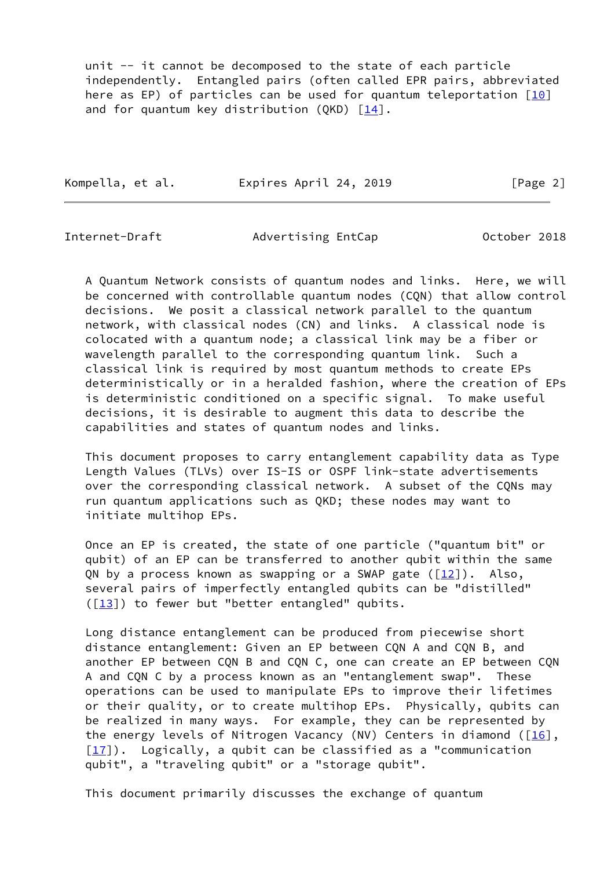unit -- it cannot be decomposed to the state of each particle independently. Entangled pairs (often called EPR pairs, abbreviated here as EP) of particles can be used for quantum teleportation  $[10]$  $[10]$ and for quantum key distribution (QKD)  $[14]$  $[14]$ .

Kompella, et al. Expires April 24, 2019 [Page 2]

<span id="page-2-0"></span>

Internet-Draft Advertising EntCap October 2018

 A Quantum Network consists of quantum nodes and links. Here, we will be concerned with controllable quantum nodes (CQN) that allow control decisions. We posit a classical network parallel to the quantum network, with classical nodes (CN) and links. A classical node is colocated with a quantum node; a classical link may be a fiber or wavelength parallel to the corresponding quantum link. Such a classical link is required by most quantum methods to create EPs deterministically or in a heralded fashion, where the creation of EPs is deterministic conditioned on a specific signal. To make useful decisions, it is desirable to augment this data to describe the capabilities and states of quantum nodes and links.

 This document proposes to carry entanglement capability data as Type Length Values (TLVs) over IS-IS or OSPF link-state advertisements over the corresponding classical network. A subset of the CQNs may run quantum applications such as QKD; these nodes may want to initiate multihop EPs.

 Once an EP is created, the state of one particle ("quantum bit" or qubit) of an EP can be transferred to another qubit within the same QN by a process known as swapping or a SWAP gate  $(12)$ ). Also, several pairs of imperfectly entangled qubits can be "distilled"  $([13])$  $([13])$  $([13])$  to fewer but "better entangled" qubits.

 Long distance entanglement can be produced from piecewise short distance entanglement: Given an EP between CQN A and CQN B, and another EP between CQN B and CQN C, one can create an EP between CQN A and CQN C by a process known as an "entanglement swap". These operations can be used to manipulate EPs to improve their lifetimes or their quality, or to create multihop EPs. Physically, qubits can be realized in many ways. For example, they can be represented by the energy levels of Nitrogen Vacancy (NV) Centers in diamond ( $[16]$  $[16]$ ,  $[17]$ ). Logically, a qubit can be classified as a "communication qubit", a "traveling qubit" or a "storage qubit".

This document primarily discusses the exchange of quantum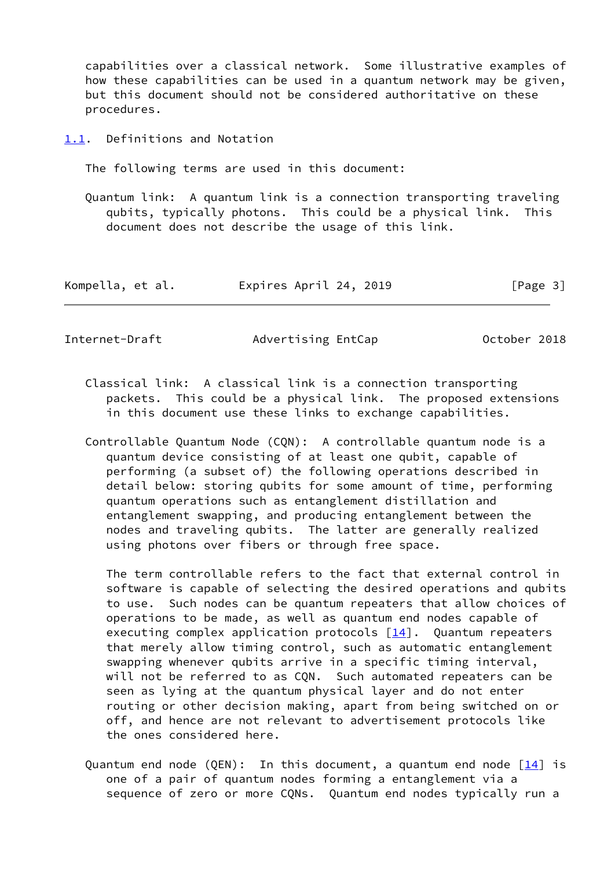capabilities over a classical network. Some illustrative examples of how these capabilities can be used in a quantum network may be given, but this document should not be considered authoritative on these procedures.

<span id="page-3-0"></span>[1.1](#page-3-0). Definitions and Notation

The following terms are used in this document:

 Quantum link: A quantum link is a connection transporting traveling qubits, typically photons. This could be a physical link. This document does not describe the usage of this link.

| Kompella, et al. | Expires April 24, 2019 | [Page 3] |
|------------------|------------------------|----------|
|------------------|------------------------|----------|

Internet-Draft Advertising EntCap October 2018

- Classical link: A classical link is a connection transporting packets. This could be a physical link. The proposed extensions in this document use these links to exchange capabilities.
- Controllable Quantum Node (CQN): A controllable quantum node is a quantum device consisting of at least one qubit, capable of performing (a subset of) the following operations described in detail below: storing qubits for some amount of time, performing quantum operations such as entanglement distillation and entanglement swapping, and producing entanglement between the nodes and traveling qubits. The latter are generally realized using photons over fibers or through free space.

 The term controllable refers to the fact that external control in software is capable of selecting the desired operations and qubits to use. Such nodes can be quantum repeaters that allow choices of operations to be made, as well as quantum end nodes capable of executing complex application protocols [[14\]](#page-15-4). Quantum repeaters that merely allow timing control, such as automatic entanglement swapping whenever qubits arrive in a specific timing interval, will not be referred to as CQN. Such automated repeaters can be seen as lying at the quantum physical layer and do not enter routing or other decision making, apart from being switched on or off, and hence are not relevant to advertisement protocols like the ones considered here.

Quantum end node (QEN): In this document, a quantum end node  $[14]$  $[14]$  is one of a pair of quantum nodes forming a entanglement via a sequence of zero or more CQNs. Quantum end nodes typically run a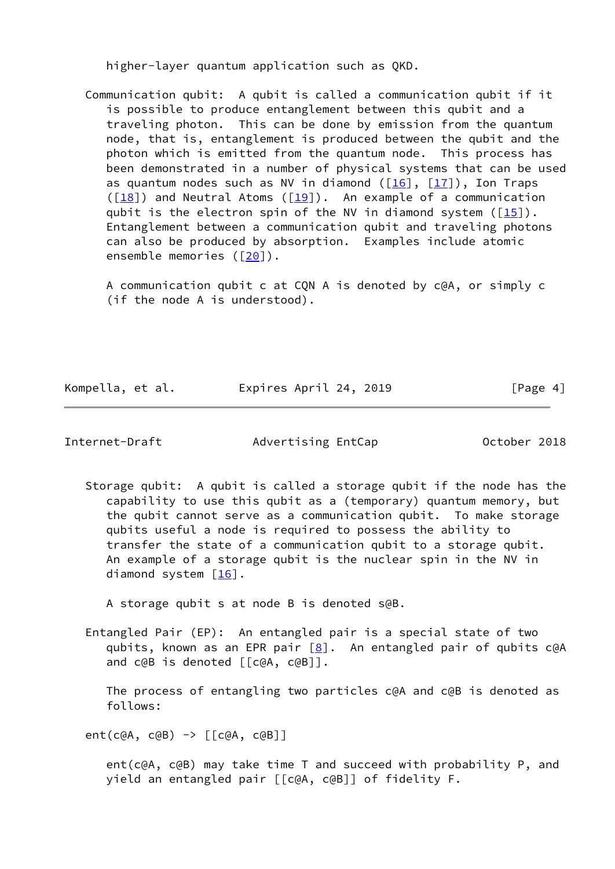higher-layer quantum application such as QKD.

 Communication qubit: A qubit is called a communication qubit if it is possible to produce entanglement between this qubit and a traveling photon. This can be done by emission from the quantum node, that is, entanglement is produced between the qubit and the photon which is emitted from the quantum node. This process has been demonstrated in a number of physical systems that can be used as quantum nodes such as NV in diamond  $([16]$  $([16]$ ,  $[17])$  $[17])$ , Ion Traps  $(\lceil \frac{18}{18} \rceil)$  and Neutral Atoms  $(\lceil \frac{19}{18} \rceil)$ . An example of a communication qubit is the electron spin of the NV in diamond system  $(\frac{15}{10})$ . Entanglement between a communication qubit and traveling photons can also be produced by absorption. Examples include atomic ensemble memories ( $[20]$  $[20]$ ).

 A communication qubit c at CQN A is denoted by c@A, or simply c (if the node A is understood).

Kompella, et al. Expires April 24, 2019 [Page 4]

Internet-Draft Movertising EntCap October 2018

 Storage qubit: A qubit is called a storage qubit if the node has the capability to use this qubit as a (temporary) quantum memory, but the qubit cannot serve as a communication qubit. To make storage qubits useful a node is required to possess the ability to transfer the state of a communication qubit to a storage qubit. An example of a storage qubit is the nuclear spin in the NV in diamond system  $[16]$  $[16]$ .

A storage qubit s at node B is denoted s@B.

 Entangled Pair (EP): An entangled pair is a special state of two qubits, known as an EPR pair  $[8]$  $[8]$ . An entangled pair of qubits c@A and c@B is denoted [[c@A, c@B]].

 The process of entangling two particles c@A and c@B is denoted as follows:

ent(c@A, c@B) -> [[c@A, c@B]]

 ent(c@A, c@B) may take time T and succeed with probability P, and yield an entangled pair [[c@A, c@B]] of fidelity F.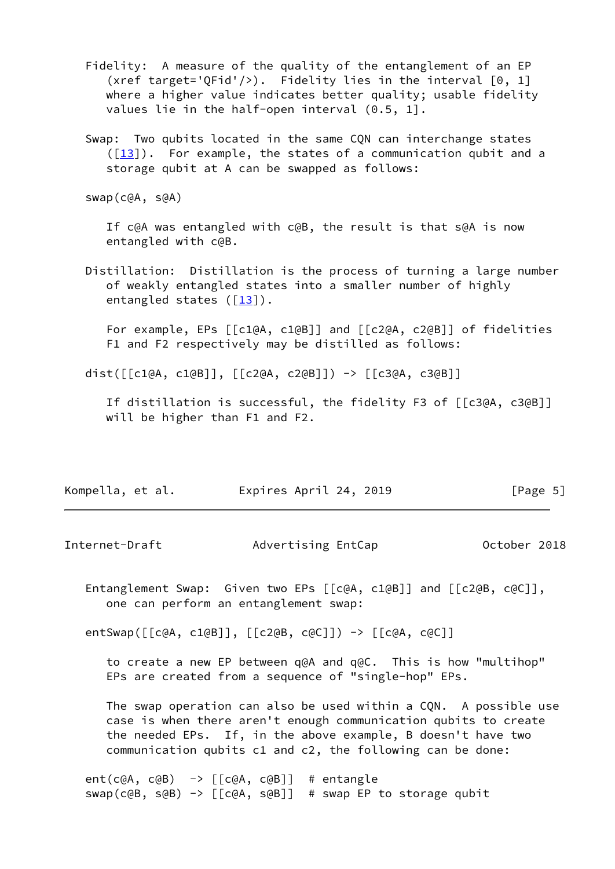- Fidelity: A measure of the quality of the entanglement of an EP (xref target='QFid'/>). Fidelity lies in the interval [0, 1] where a higher value indicates better quality; usable fidelity values lie in the half-open interval (0.5, 1].
- Swap: Two qubits located in the same CQN can interchange states  $([13])$  $([13])$  $([13])$ . For example, the states of a communication qubit and a storage qubit at A can be swapped as follows:

swap(c@A, s@A)

 If c@A was entangled with c@B, the result is that s@A is now entangled with c@B.

 Distillation: Distillation is the process of turning a large number of weakly entangled states into a smaller number of highly entangled states  $([13])$  $([13])$  $([13])$ .

 For example, EPs [[c1@A, c1@B]] and [[c2@A, c2@B]] of fidelities F1 and F2 respectively may be distilled as follows:

dist([[c1@A, c1@B]], [[c2@A, c2@B]]) -> [[c3@A, c3@B]]

 If distillation is successful, the fidelity F3 of [[c3@A, c3@B]] will be higher than F1 and F2.

| Kompella, et al. | Expires April 24, 2019 | [Page 5] |
|------------------|------------------------|----------|
|------------------|------------------------|----------|

<span id="page-5-0"></span>Internet-Draft Movertising EntCap October 2018

 Entanglement Swap: Given two EPs [[c@A, c1@B]] and [[c2@B, c@C]], one can perform an entanglement swap:

entSwap([[c@A, c1@B]], [[c2@B, c@C]]) -> [[c@A, c@C]]

 to create a new EP between q@A and q@C. This is how "multihop" EPs are created from a sequence of "single-hop" EPs.

 The swap operation can also be used within a CQN. A possible use case is when there aren't enough communication qubits to create the needed EPs. If, in the above example, B doesn't have two communication qubits c1 and c2, the following can be done:

ent(c@A, c@B)  $\rightarrow$  [[c@A, c@B]] # entangle swap(c@B, s@B) -> [[c@A, s@B]] # swap EP to storage qubit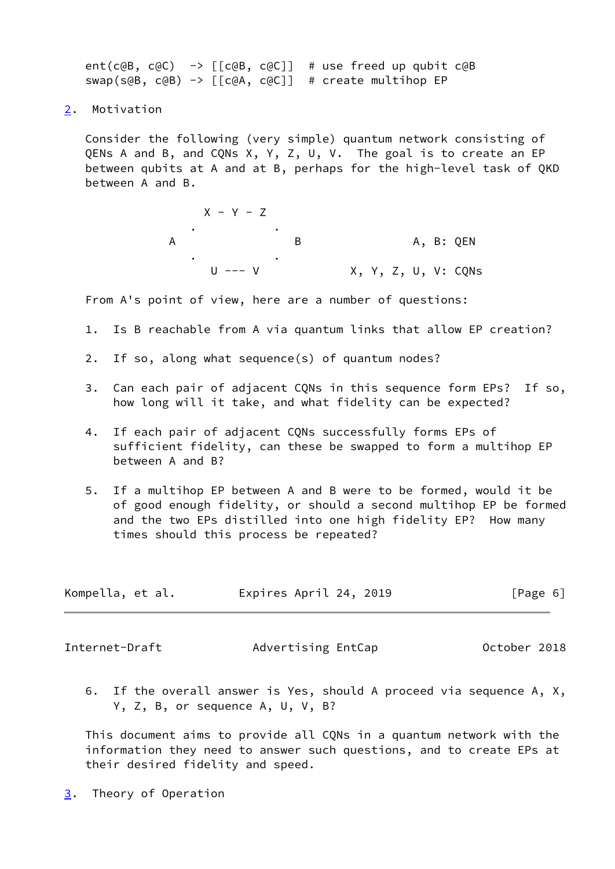ent(c@B, c@C)  $\rightarrow$  [[c@B, c@C]] # use freed up qubit c@B swap(s@B, c@B) -> [[c@A, c@C]] # create multihop EP

<span id="page-6-0"></span>[2](#page-6-0). Motivation

 Consider the following (very simple) quantum network consisting of QENs A and B, and CQNs X, Y, Z, U, V. The goal is to create an EP between qubits at A and at B, perhaps for the high-level task of QKD between A and B.

 $X - Y - Z$  . . A B B A, B: QEN . . X, Y, Z, U, V: CQNs

From A's point of view, here are a number of questions:

- 1. Is B reachable from A via quantum links that allow EP creation?
- 2. If so, along what sequence(s) of quantum nodes?
- 3. Can each pair of adjacent CQNs in this sequence form EPs? If so, how long will it take, and what fidelity can be expected?
- 4. If each pair of adjacent CQNs successfully forms EPs of sufficient fidelity, can these be swapped to form a multihop EP between A and B?
- 5. If a multihop EP between A and B were to be formed, would it be of good enough fidelity, or should a second multihop EP be formed and the two EPs distilled into one high fidelity EP? How many times should this process be repeated?

| Kompella, et al. | Expires April 24, 2019 | [Page 6] |
|------------------|------------------------|----------|
|------------------|------------------------|----------|

<span id="page-6-2"></span>Internet-Draft Movertising EntCap October 2018

 6. If the overall answer is Yes, should A proceed via sequence A, X, Y, Z, B, or sequence A, U, V, B?

 This document aims to provide all CQNs in a quantum network with the information they need to answer such questions, and to create EPs at their desired fidelity and speed.

<span id="page-6-1"></span>[3](#page-6-1). Theory of Operation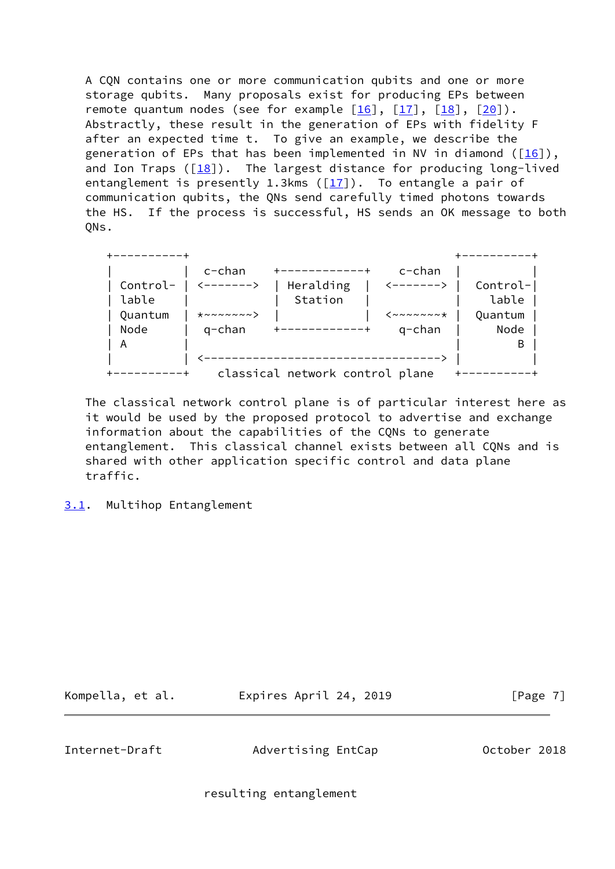A CQN contains one or more communication qubits and one or more storage qubits. Many proposals exist for producing EPs between remote quantum nodes (see for example  $[16]$  $[16]$ ,  $[17]$ ,  $[18]$  $[18]$ ,  $[20]$ ). Abstractly, these result in the generation of EPs with fidelity F after an expected time t. To give an example, we describe the generation of EPs that has been implemented in NV in diamond ( $[16]$  $[16]$ ), and Ion Traps  $([18])$  $([18])$  $([18])$ . The largest distance for producing long-lived entanglement is presently 1.3kms ( $[17]$  $[17]$ ). To entangle a pair of communication qubits, the QNs send carefully timed photons towards the HS. If the process is successful, HS sends an OK message to both QNs.

|          | $c$ -chan                                          |                                 | $c$ -chan            |          |
|----------|----------------------------------------------------|---------------------------------|----------------------|----------|
| Control- | <------>                                           | Heralding                       | <------>             | Control- |
| lable    |                                                    | Station                         |                      | lable    |
| Quantum  | $\star \sim \sim \sim \sim \sim \sim \sim \rangle$ |                                 | $\leftarrow$ ~~~~~~* | Quantum  |
| Node     | g-chan                                             |                                 | $q$ -chan            | Node     |
| A        |                                                    |                                 |                      | В        |
|          |                                                    |                                 |                      |          |
|          |                                                    | classical network control plane |                      |          |

 The classical network control plane is of particular interest here as it would be used by the proposed protocol to advertise and exchange information about the capabilities of the CQNs to generate entanglement. This classical channel exists between all CQNs and is shared with other application specific control and data plane traffic.

<span id="page-7-0"></span>[3.1](#page-7-0). Multihop Entanglement

Kompella, et al. Expires April 24, 2019 [Page 7]

Internet-Draft Advertising EntCap October 2018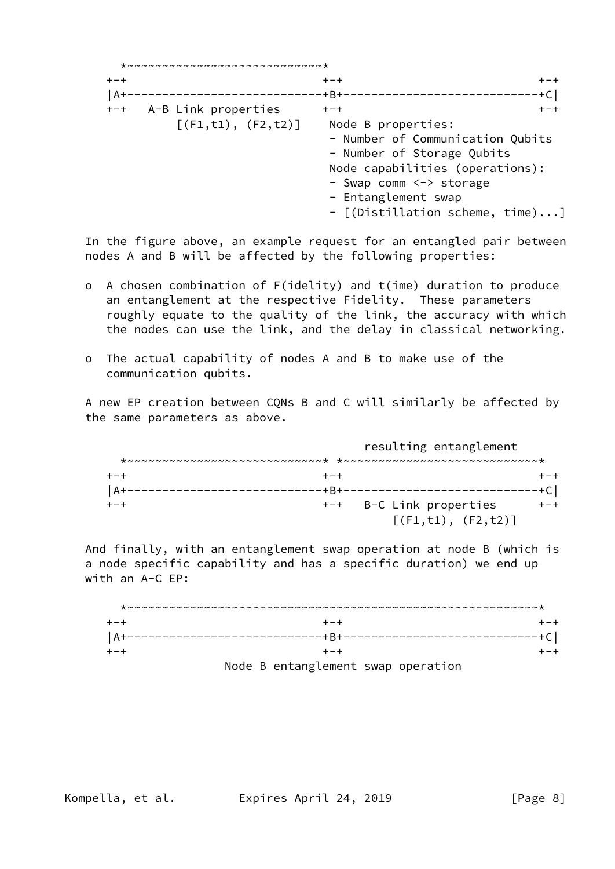|       | *~~~~~~~~~~~~~~~~~~~~~~~~~~~~                   |                                                                                                                                                                                                                       |         |
|-------|-------------------------------------------------|-----------------------------------------------------------------------------------------------------------------------------------------------------------------------------------------------------------------------|---------|
| $+-+$ |                                                 | $+ - +$                                                                                                                                                                                                               | $+-+$   |
| $A+$  |                                                 | $-+B+$                                                                                                                                                                                                                | -+C     |
|       | +-+ A-B Link properties<br>[ (F1,t1), (F2,t2) ] | $+-+$<br>Node B properties:<br>- Number of Communication Qubits<br>- Number of Storage Qubits<br>Node capabilities (operations):<br>- Swap comm <-> storage<br>- Entanglement swap<br>- [(Distillation scheme, time)] | $+ - +$ |
|       |                                                 |                                                                                                                                                                                                                       |         |

 In the figure above, an example request for an entangled pair between nodes A and B will be affected by the following properties:

- o A chosen combination of F(idelity) and t(ime) duration to produce an entanglement at the respective Fidelity. These parameters roughly equate to the quality of the link, the accuracy with which the nodes can use the link, and the delay in classical networking.
- o The actual capability of nodes A and B to make use of the communication qubits.

 A new EP creation between CQNs B and C will similarly be affected by the same parameters as above.

|               |       | resulting entanglement  |  |
|---------------|-------|-------------------------|--|
|               |       |                         |  |
|               | + - + |                         |  |
| $^{\circ}$ A+ | ·+R+  |                         |  |
|               |       | +-+ B-C Link properties |  |
|               |       | [ (F1, t1), (F2, t2) ]  |  |

 And finally, with an entanglement swap operation at node B (which is a node specific capability and has a specific duration) we end up with an A-C EP:

| $AA+--$ |                                    |  |
|---------|------------------------------------|--|
|         |                                    |  |
|         | Node B entanglement swap operation |  |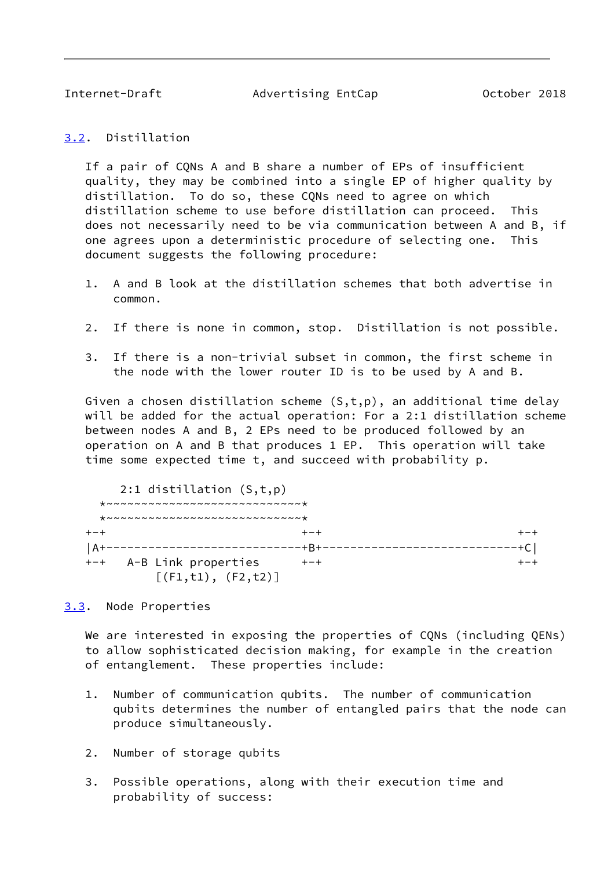<span id="page-9-1"></span>

Internet-Draft Advertising EntCap October 2018

### <span id="page-9-0"></span>[3.2](#page-9-0). Distillation

 If a pair of CQNs A and B share a number of EPs of insufficient quality, they may be combined into a single EP of higher quality by distillation. To do so, these CQNs need to agree on which distillation scheme to use before distillation can proceed. This does not necessarily need to be via communication between A and B, if one agrees upon a deterministic procedure of selecting one. This document suggests the following procedure:

- 1. A and B look at the distillation schemes that both advertise in common.
- 2. If there is none in common, stop. Distillation is not possible.
- 3. If there is a non-trivial subset in common, the first scheme in the node with the lower router ID is to be used by A and B.

Given a chosen distillation scheme  $(S,t,p)$ , an additional time delay will be added for the actual operation: For a 2:1 distillation scheme between nodes A and B, 2 EPs need to be produced followed by an operation on A and B that produces 1 EP. This operation will take time some expected time t, and succeed with probability p.

 2:1 distillation (S,t,p)  $*$ ~~~~~~~~~~~~~~~~~~~~~~~~~~~~ \*~~~~~~~~~~~~~~~~~~~~~~~~~~~~\* +-+ +-+ +-+ |A+----------------------------+B+----------------------------+C| +-+ A-B Link properties  $++-+$   $+- [ (F1,t1), (F2,t2) ]$ 

### <span id="page-9-2"></span>[3.3](#page-9-2). Node Properties

We are interested in exposing the properties of CQNs (including QENs) to allow sophisticated decision making, for example in the creation of entanglement. These properties include:

- 1. Number of communication qubits. The number of communication qubits determines the number of entangled pairs that the node can produce simultaneously.
- 2. Number of storage qubits
- 3. Possible operations, along with their execution time and probability of success: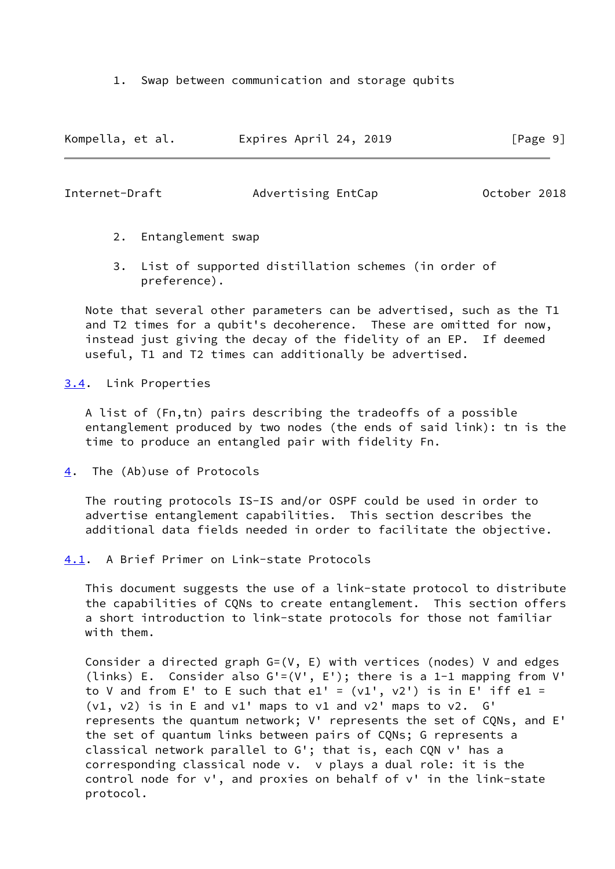1. Swap between communication and storage qubits

| Kompella, et al. | Expires April 24, 2019 | [Page 9] |
|------------------|------------------------|----------|
|------------------|------------------------|----------|

<span id="page-10-1"></span>Internet-Draft Movertising EntCap October 2018

- 2. Entanglement swap
- 3. List of supported distillation schemes (in order of preference).

 Note that several other parameters can be advertised, such as the T1 and T2 times for a qubit's decoherence. These are omitted for now, instead just giving the decay of the fidelity of an EP. If deemed useful, T1 and T2 times can additionally be advertised.

<span id="page-10-0"></span>[3.4](#page-10-0). Link Properties

 A list of (Fn,tn) pairs describing the tradeoffs of a possible entanglement produced by two nodes (the ends of said link): tn is the time to produce an entangled pair with fidelity Fn.

<span id="page-10-2"></span>[4](#page-10-2). The (Ab)use of Protocols

 The routing protocols IS-IS and/or OSPF could be used in order to advertise entanglement capabilities. This section describes the additional data fields needed in order to facilitate the objective.

<span id="page-10-3"></span>[4.1](#page-10-3). A Brief Primer on Link-state Protocols

 This document suggests the use of a link-state protocol to distribute the capabilities of CQNs to create entanglement. This section offers a short introduction to link-state protocols for those not familiar with them.

Consider a directed graph  $G=(V, E)$  with vertices (nodes) V and edges (links) E. Consider also G'=(V', E'); there is a 1-1 mapping from V' to V and from E' to E such that e1' =  $(v1', v2')$  is in E' iff e1 = (v1, v2) is in E and v1' maps to v1 and v2' maps to v2. G' represents the quantum network; V' represents the set of CQNs, and E' the set of quantum links between pairs of CQNs; G represents a classical network parallel to G'; that is, each CQN v' has a corresponding classical node v. v plays a dual role: it is the control node for v', and proxies on behalf of v' in the link-state protocol.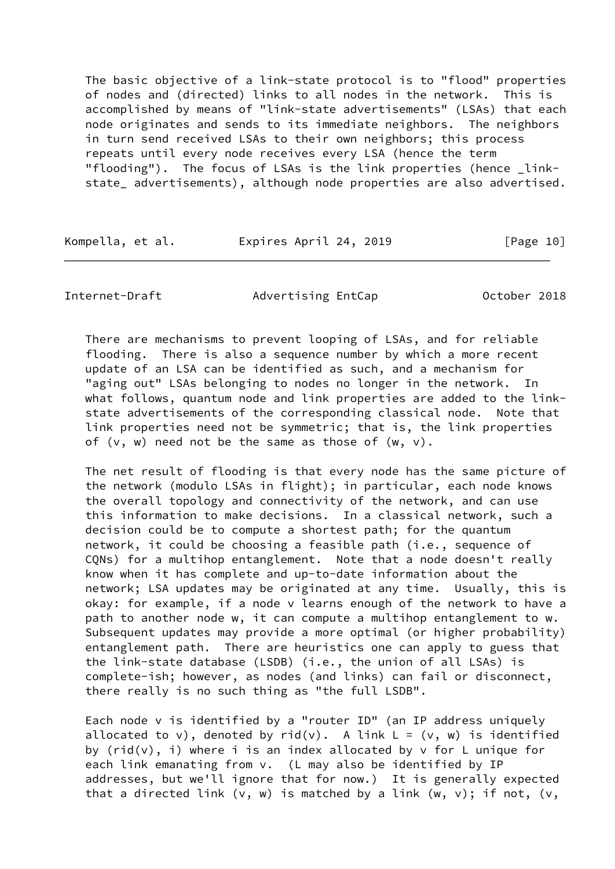The basic objective of a link-state protocol is to "flood" properties of nodes and (directed) links to all nodes in the network. This is accomplished by means of "link-state advertisements" (LSAs) that each node originates and sends to its immediate neighbors. The neighbors in turn send received LSAs to their own neighbors; this process repeats until every node receives every LSA (hence the term "flooding"). The focus of LSAs is the link properties (hence \_linkstate\_ advertisements), although node properties are also advertised.

| Kompella, et al. | Expires April 24, 2019 | [Page 10] |
|------------------|------------------------|-----------|
|                  |                        |           |

Internet-Draft Advertising EntCap October 2018

 There are mechanisms to prevent looping of LSAs, and for reliable flooding. There is also a sequence number by which a more recent update of an LSA can be identified as such, and a mechanism for "aging out" LSAs belonging to nodes no longer in the network. In what follows, quantum node and link properties are added to the link state advertisements of the corresponding classical node. Note that link properties need not be symmetric; that is, the link properties of  $(v, w)$  need not be the same as those of  $(w, v)$ .

 The net result of flooding is that every node has the same picture of the network (modulo LSAs in flight); in particular, each node knows the overall topology and connectivity of the network, and can use this information to make decisions. In a classical network, such a decision could be to compute a shortest path; for the quantum network, it could be choosing a feasible path (i.e., sequence of CQNs) for a multihop entanglement. Note that a node doesn't really know when it has complete and up-to-date information about the network; LSA updates may be originated at any time. Usually, this is okay: for example, if a node v learns enough of the network to have a path to another node w, it can compute a multihop entanglement to w. Subsequent updates may provide a more optimal (or higher probability) entanglement path. There are heuristics one can apply to guess that the link-state database (LSDB) (i.e., the union of all LSAs) is complete-ish; however, as nodes (and links) can fail or disconnect, there really is no such thing as "the full LSDB".

 Each node v is identified by a "router ID" (an IP address uniquely allocated to v), denoted by rid(v). A link  $L = (v, w)$  is identified by  $(rid(v), i)$  where i is an index allocated by v for L unique for each link emanating from v. (L may also be identified by IP addresses, but we'll ignore that for now.) It is generally expected that a directed link  $(v, w)$  is matched by a link  $(w, v)$ ; if not,  $(v, w)$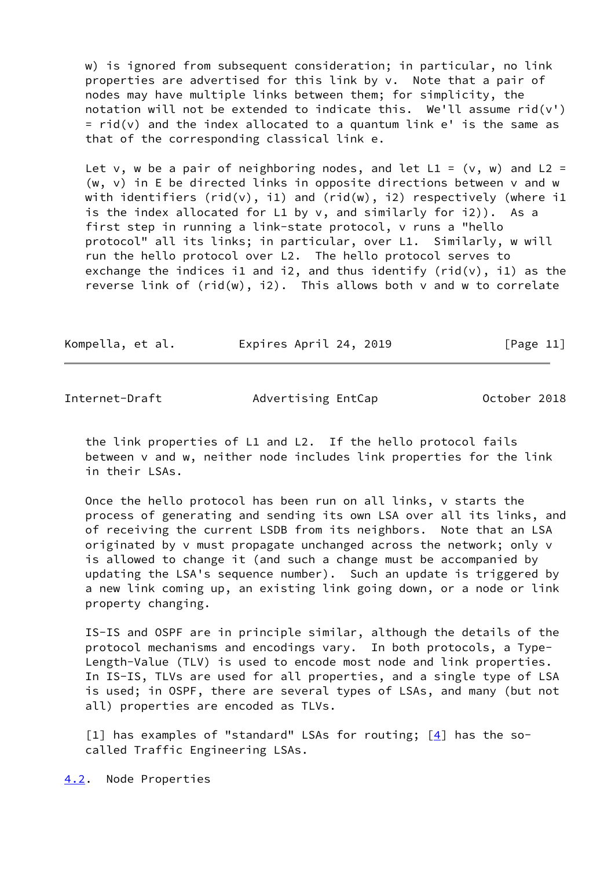w) is ignored from subsequent consideration; in particular, no link properties are advertised for this link by v. Note that a pair of nodes may have multiple links between them; for simplicity, the notation will not be extended to indicate this. We'll assume  $rid(v')$  $=$  rid(v) and the index allocated to a quantum link  $e'$  is the same as that of the corresponding classical link e.

Let v, w be a pair of neighboring nodes, and let  $LI = (v, w)$  and  $L2 =$ (w,  $v$ ) in E be directed links in opposite directions between  $v$  and w with identifiers (rid(v), i1) and (rid(w), i2) respectively (where i1 is the index allocated for L1 by v, and similarly for i2)). As a first step in running a link-state protocol, v runs a "hello protocol" all its links; in particular, over L1. Similarly, w will run the hello protocol over L2. The hello protocol serves to exchange the indices il and i2, and thus identify (rid(v), il) as the reverse link of  $(rid(w), i2)$ . This allows both v and w to correlate

| Kompella, et al. | Expires April 24, 2019 | [Page 11] |
|------------------|------------------------|-----------|
|------------------|------------------------|-----------|

<span id="page-12-1"></span>Internet-Draft Movertising EntCap October 2018

 the link properties of L1 and L2. If the hello protocol fails between v and w, neither node includes link properties for the link in their LSAs.

 Once the hello protocol has been run on all links, v starts the process of generating and sending its own LSA over all its links, and of receiving the current LSDB from its neighbors. Note that an LSA originated by v must propagate unchanged across the network; only v is allowed to change it (and such a change must be accompanied by updating the LSA's sequence number). Such an update is triggered by a new link coming up, an existing link going down, or a node or link property changing.

 IS-IS and OSPF are in principle similar, although the details of the protocol mechanisms and encodings vary. In both protocols, a Type- Length-Value (TLV) is used to encode most node and link properties. In IS-IS, TLVs are used for all properties, and a single type of LSA is used; in OSPF, there are several types of LSAs, and many (but not all) properties are encoded as TLVs.

[1] has examples of "standard" LSAs for routing;  $[4]$  has the socalled Traffic Engineering LSAs.

<span id="page-12-0"></span>[4.2](#page-12-0). Node Properties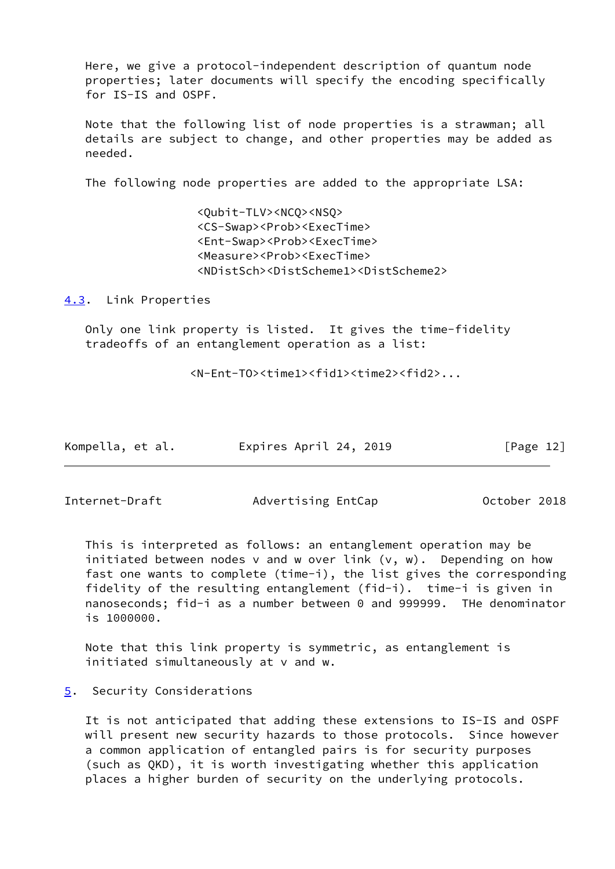Here, we give a protocol-independent description of quantum node properties; later documents will specify the encoding specifically for IS-IS and OSPF.

 Note that the following list of node properties is a strawman; all details are subject to change, and other properties may be added as needed.

The following node properties are added to the appropriate LSA:

 <Qubit-TLV><NCQ><NSQ> <CS-Swap><Prob><ExecTime> <Ent-Swap><Prob><ExecTime> <Measure><Prob><ExecTime> <NDistSch><DistScheme1><DistScheme2>

<span id="page-13-0"></span>[4.3](#page-13-0). Link Properties

 Only one link property is listed. It gives the time-fidelity tradeoffs of an entanglement operation as a list:

<N-Ent-TO><time1><fid1><time2><fid2>...

| Kompella, et al. | Expires April 24, 2019 | [Page 12] |
|------------------|------------------------|-----------|
|------------------|------------------------|-----------|

<span id="page-13-2"></span>Internet-Draft Movertising EntCap October 2018

 This is interpreted as follows: an entanglement operation may be initiated between nodes  $v$  and w over link  $(v, w)$ . Depending on how fast one wants to complete (time-i), the list gives the corresponding fidelity of the resulting entanglement (fid-i). time-i is given in nanoseconds; fid-i as a number between 0 and 999999. THe denominator is 1000000.

 Note that this link property is symmetric, as entanglement is initiated simultaneously at v and w.

<span id="page-13-1"></span>[5](#page-13-1). Security Considerations

 It is not anticipated that adding these extensions to IS-IS and OSPF will present new security hazards to those protocols. Since however a common application of entangled pairs is for security purposes (such as QKD), it is worth investigating whether this application places a higher burden of security on the underlying protocols.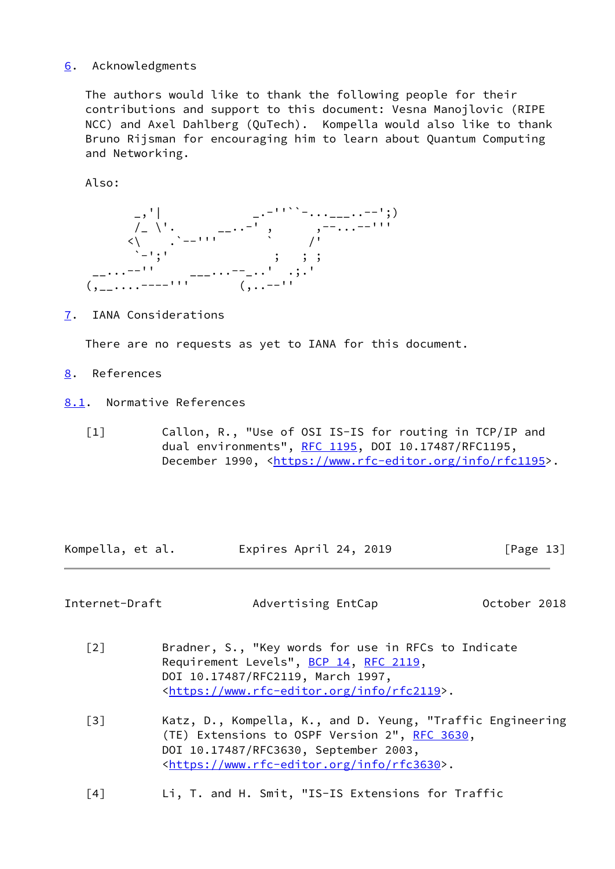# <span id="page-14-1"></span>[6](#page-14-1). Acknowledgments

 The authors would like to thank the following people for their contributions and support to this document: Vesna Manojlovic (RIPE NCC) and Axel Dahlberg (QuTech). Kompella would also like to thank Bruno Rijsman for encouraging him to learn about Quantum Computing and Networking.

Also:



<span id="page-14-2"></span>[7](#page-14-2). IANA Considerations

There are no requests as yet to IANA for this document.

- <span id="page-14-3"></span>[8](#page-14-3). References
- <span id="page-14-4"></span>[8.1](#page-14-4). Normative References
	- [1] Callon, R., "Use of OSI IS-IS for routing in TCP/IP and dual environments", [RFC 1195,](https://datatracker.ietf.org/doc/pdf/rfc1195) DOI 10.17487/RFC1195, December 1990, <<https://www.rfc-editor.org/info/rfc1195>>.

Kompella, et al. Expires April 24, 2019 [Page 13]

<span id="page-14-5"></span>Internet-Draft Movertising EntCap October 2018

- <span id="page-14-0"></span> [2] Bradner, S., "Key words for use in RFCs to Indicate Requirement Levels", [BCP 14](https://datatracker.ietf.org/doc/pdf/bcp14), [RFC 2119](https://datatracker.ietf.org/doc/pdf/rfc2119), DOI 10.17487/RFC2119, March 1997, <[https://www.rfc-editor.org/info/rfc2119>](https://www.rfc-editor.org/info/rfc2119).
- [3] Katz, D., Kompella, K., and D. Yeung, "Traffic Engineering (TE) Extensions to OSPF Version 2", [RFC 3630,](https://datatracker.ietf.org/doc/pdf/rfc3630) DOI 10.17487/RFC3630, September 2003, <[https://www.rfc-editor.org/info/rfc3630>](https://www.rfc-editor.org/info/rfc3630).
- <span id="page-14-6"></span>[4] Li, T. and H. Smit, "IS-IS Extensions for Traffic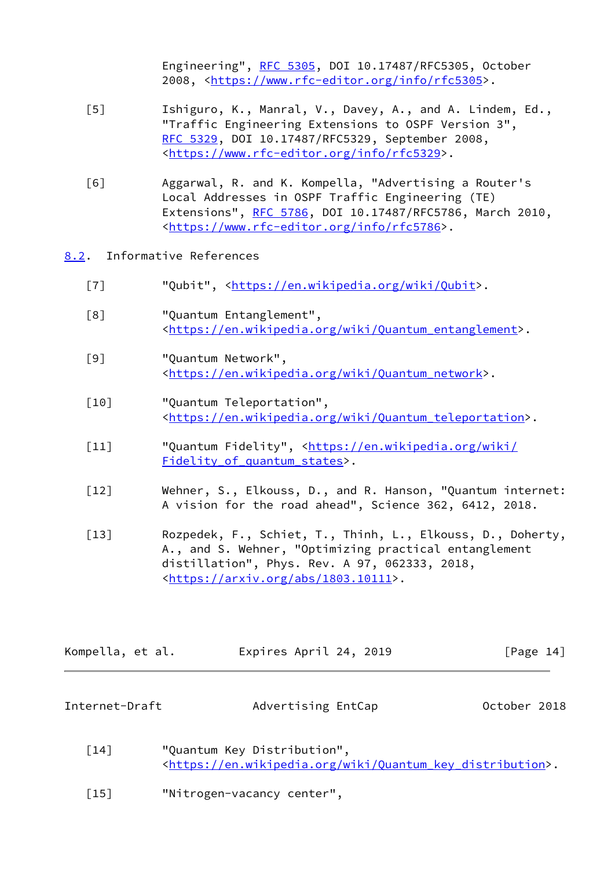Engineering", [RFC 5305](https://datatracker.ietf.org/doc/pdf/rfc5305), DOI 10.17487/RFC5305, October 2008, [<https://www.rfc-editor.org/info/rfc5305](https://www.rfc-editor.org/info/rfc5305)>.

- [5] Ishiguro, K., Manral, V., Davey, A., and A. Lindem, Ed., "Traffic Engineering Extensions to OSPF Version 3", [RFC 5329,](https://datatracker.ietf.org/doc/pdf/rfc5329) DOI 10.17487/RFC5329, September 2008, <[https://www.rfc-editor.org/info/rfc5329>](https://www.rfc-editor.org/info/rfc5329).
- [6] Aggarwal, R. and K. Kompella, "Advertising a Router's Local Addresses in OSPF Traffic Engineering (TE) Extensions", [RFC 5786](https://datatracker.ietf.org/doc/pdf/rfc5786), DOI 10.17487/RFC5786, March 2010, <[https://www.rfc-editor.org/info/rfc5786>](https://www.rfc-editor.org/info/rfc5786).
- <span id="page-15-3"></span><span id="page-15-2"></span><span id="page-15-0"></span>[8.2](#page-15-0). Informative References
	- [7] "Qubit", [<https://en.wikipedia.org/wiki/Qubit](https://en.wikipedia.org/wiki/Qubit)>.
	- [8] "Quantum Entanglement", <[https://en.wikipedia.org/wiki/Quantum\\_entanglement>](https://en.wikipedia.org/wiki/Quantum_entanglement).
	- [9] "Quantum Network", <[https://en.wikipedia.org/wiki/Quantum\\_network>](https://en.wikipedia.org/wiki/Quantum_network).
	- [10] "Quantum Teleportation", <[https://en.wikipedia.org/wiki/Quantum\\_teleportation>](https://en.wikipedia.org/wiki/Quantum_teleportation).
	- [11] "Quantum Fidelity", [<https://en.wikipedia.org/wiki/](https://en.wikipedia.org/wiki/Fidelity_of_quantum_states) Fidelity of quantum states>.
	- [12] Wehner, S., Elkouss, D., and R. Hanson, "Quantum internet: A vision for the road ahead", Science 362, 6412, 2018.
	- [13] Rozpedek, F., Schiet, T., Thinh, L., Elkouss, D., Doherty, A., and S. Wehner, "Optimizing practical entanglement distillation", Phys. Rev. A 97, 062333, 2018, <[https://arxiv.org/abs/1803.10111>](https://arxiv.org/abs/1803.10111).

<span id="page-15-6"></span><span id="page-15-5"></span>

| Kompella, et al. | Expires April 24, 2019 | [Page 14] |
|------------------|------------------------|-----------|
|                  |                        |           |

<span id="page-15-1"></span>

| Internet-Draft | Advertising EntCap | October 2018 |  |
|----------------|--------------------|--------------|--|
|                |                    |              |  |

- <span id="page-15-4"></span>[14] "Quantum Key Distribution", <[https://en.wikipedia.org/wiki/Quantum\\_key\\_distribution](https://en.wikipedia.org/wiki/Quantum_key_distribution)>.
- <span id="page-15-7"></span>[15] "Nitrogen-vacancy center",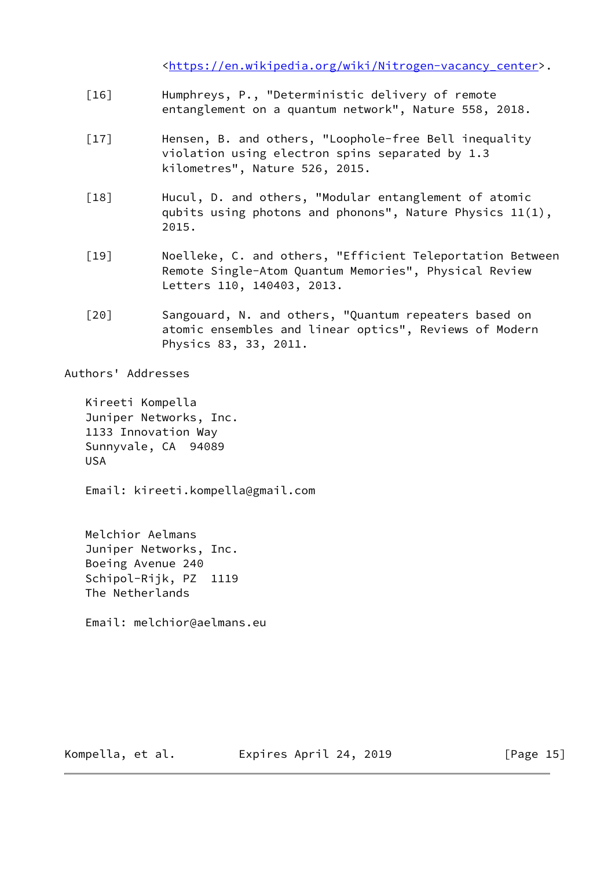<[https://en.wikipedia.org/wiki/Nitrogen-vacancy\\_center>](https://en.wikipedia.org/wiki/Nitrogen-vacancy_center).

- <span id="page-16-0"></span> [16] Humphreys, P., "Deterministic delivery of remote entanglement on a quantum network", Nature 558, 2018.
- <span id="page-16-1"></span>[17] Hensen, B. and others, "Loophole-free Bell inequality violation using electron spins separated by 1.3 kilometres", Nature 526, 2015.
- <span id="page-16-2"></span> [18] Hucul, D. and others, "Modular entanglement of atomic qubits using photons and phonons", Nature Physics 11(1), 2015.
- <span id="page-16-3"></span> [19] Noelleke, C. and others, "Efficient Teleportation Between Remote Single-Atom Quantum Memories", Physical Review Letters 110, 140403, 2013.
- <span id="page-16-4"></span>[20] Sangouard, N. and others, "Quantum repeaters based on atomic ensembles and linear optics", Reviews of Modern Physics 83, 33, 2011.

Authors' Addresses

 Kireeti Kompella Juniper Networks, Inc. 1133 Innovation Way Sunnyvale, CA 94089 USA

Email: kireeti.kompella@gmail.com

 Melchior Aelmans Juniper Networks, Inc. Boeing Avenue 240 Schipol-Rijk, PZ 1119 The Netherlands

Email: melchior@aelmans.eu

Kompella, et al. Expires April 24, 2019 [Page 15]